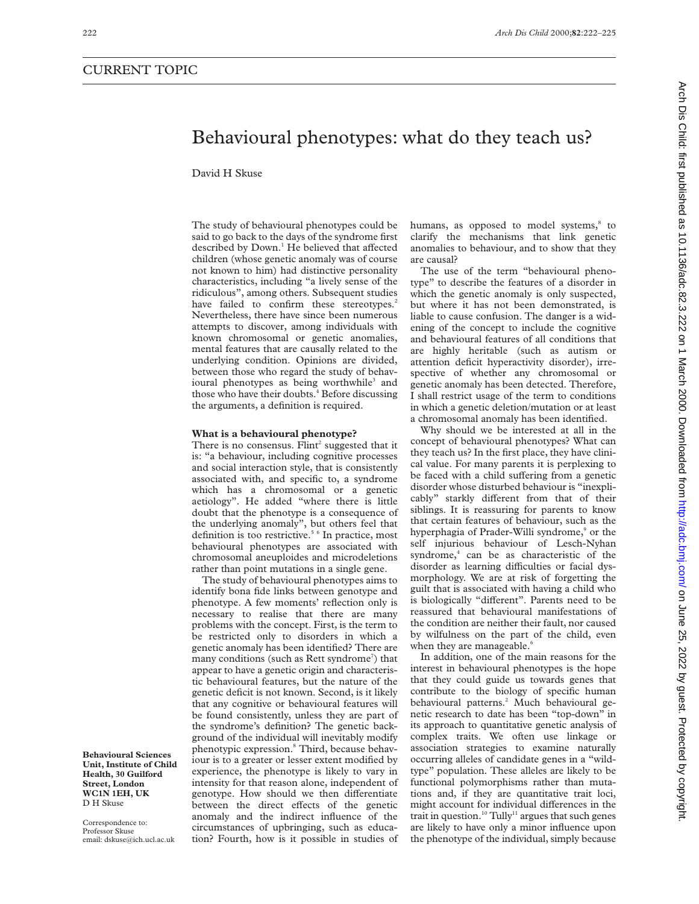# Behavioural phenotypes: what do they teach us?

David H Skuse

The study of behavioural phenotypes could be said to go back to the days of the syndrome first described by Down.<sup>1</sup> He believed that affected children (whose genetic anomaly was of course not known to him) had distinctive personality characteristics, including "a lively sense of the ridiculous", among others. Subsequent studies have failed to confirm these stereotypes.<sup>2</sup> Nevertheless, there have since been numerous attempts to discover, among individuals with known chromosomal or genetic anomalies, mental features that are causally related to the underlying condition. Opinions are divided, between those who regard the study of behavioural phenotypes as being worthwhile<sup>3</sup> and those who have their doubts.<sup>4</sup> Before discussing the arguments, a definition is required.

# **What is a behavioural phenotype?**

There is no consensus. Flint<sup>2</sup> suggested that it is: "a behaviour, including cognitive processes and social interaction style, that is consistently associated with, and specific to, a syndrome which has a chromosomal or a genetic aetiology". He added "where there is little doubt that the phenotype is a consequence of the underlying anomaly", but others feel that definition is too restrictive.<sup>5  $6$ </sup> In practice, most behavioural phenotypes are associated with chromosomal aneuploides and microdeletions rather than point mutations in a single gene.

The study of behavioural phenotypes aims to identify bona fide links between genotype and phenotype. A few moments' reflection only is necessary to realise that there are many problems with the concept. First, is the term to be restricted only to disorders in which a genetic anomaly has been identified? There are many conditions (such as Rett syndrome<sup>7</sup>) that appear to have a genetic origin and characteristic behavioural features, but the nature of the genetic deficit is not known. Second, is it likely that any cognitive or behavioural features will be found consistently, unless they are part of the syndrome's definition? The genetic background of the individual will inevitably modify phenotypic expression.8 Third, because behaviour is to a greater or lesser extent modified by experience, the phenotype is likely to vary in intensity for that reason alone, independent of genotype. How should we then differentiate between the direct effects of the genetic anomaly and the indirect influence of the circumstances of upbringing, such as education? Fourth, how is it possible in studies of humans, as opposed to model systems,<sup>8</sup> to clarify the mechanisms that link genetic anomalies to behaviour, and to show that they are causal?

The use of the term "behavioural phenotype" to describe the features of a disorder in which the genetic anomaly is only suspected, but where it has not been demonstrated, is liable to cause confusion. The danger is a widening of the concept to include the cognitive and behavioural features of all conditions that are highly heritable (such as autism or attention deficit hyperactivity disorder), irrespective of whether any chromosomal or genetic anomaly has been detected. Therefore, I shall restrict usage of the term to conditions in which a genetic deletion/mutation or at least a chromosomal anomaly has been identified.

Why should we be interested at all in the concept of behavioural phenotypes? What can they teach us? In the first place, they have clinical value. For many parents it is perplexing to be faced with a child suffering from a genetic disorder whose disturbed behaviour is "inexplicably" starkly different from that of their siblings. It is reassuring for parents to know that certain features of behaviour, such as the hyperphagia of Prader-Willi syndrome,<sup>9</sup> or the self injurious behaviour of Lesch-Nyhan syndrome,<sup>4</sup> can be as characteristic of the disorder as learning difficulties or facial dysmorphology. We are at risk of forgetting the guilt that is associated with having a child who is biologically "different". Parents need to be reassured that behavioural manifestations of the condition are neither their fault, nor caused by wilfulness on the part of the child, even when they are manageable.<sup>6</sup>

In addition, one of the main reasons for the interest in behavioural phenotypes is the hope that they could guide us towards genes that contribute to the biology of specific human behavioural patterns.<sup>2</sup> Much behavioural genetic research to date has been "top-down" in its approach to quantitative genetic analysis of complex traits. We often use linkage or association strategies to examine naturally occurring alleles of candidate genes in a "wildtype" population. These alleles are likely to be functional polymorphisms rather than mutations and, if they are quantitative trait loci, might account for individual differences in the trait in question.<sup>10</sup> Tully<sup>11</sup> argues that such genes are likely to have only a minor influence upon the phenotype of the individual, simply because

**Behavioural Sciences Unit, Institute of Child Health, 30 Guilford Street, London WC1N 1EH, UK** D H Skuse

Correspondence to: Professor Skuse email: dskuse@ich.ucl.ac.uk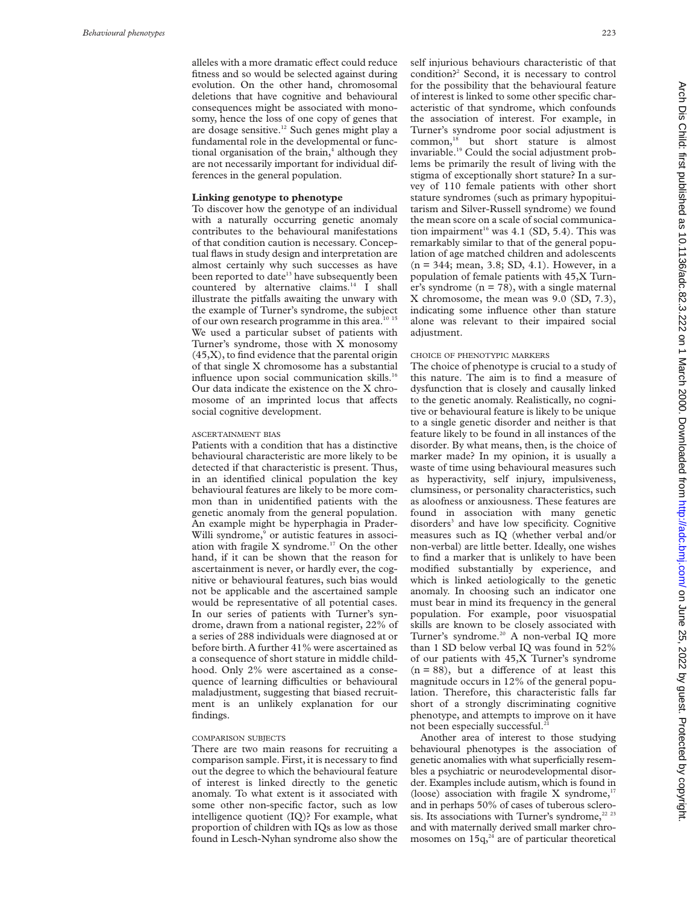alleles with a more dramatic effect could reduce fitness and so would be selected against during evolution. On the other hand, chromosomal deletions that have cognitive and behavioural consequences might be associated with monosomy, hence the loss of one copy of genes that are dosage sensitive.12 Such genes might play a fundamental role in the developmental or functional organisation of the brain, $4$  although they are not necessarily important for individual differences in the general population.

#### **Linking genotype to phenotype**

To discover how the genotype of an individual with a naturally occurring genetic anomaly contributes to the behavioural manifestations of that condition caution is necessary. Conceptual flaws in study design and interpretation are almost certainly why such successes as have been reported to date<sup>13</sup> have subsequently been countered by alternative claims.14 I shall illustrate the pitfalls awaiting the unwary with the example of Turner's syndrome, the subject of our own research programme in this area.10 15 We used a particular subset of patients with Turner's syndrome, those with X monosomy (45,X), to find evidence that the parental origin of that single X chromosome has a substantial influence upon social communication skills.<sup>16</sup> Our data indicate the existence on the X chromosome of an imprinted locus that affects

### ASCERTAINMENT BIAS

social cognitive development.

Patients with a condition that has a distinctive behavioural characteristic are more likely to be detected if that characteristic is present. Thus, in an identified clinical population the key behavioural features are likely to be more common than in unidentified patients with the genetic anomaly from the general population. An example might be hyperphagia in Prader-Willi syndrome,<sup>9</sup> or autistic features in association with fragile X syndrome.<sup>17</sup> On the other hand, if it can be shown that the reason for ascertainment is never, or hardly ever, the cognitive or behavioural features, such bias would not be applicable and the ascertained sample would be representative of all potential cases. In our series of patients with Turner's syndrome, drawn from a national register, 22% of a series of 288 individuals were diagnosed at or before birth. A further 41% were ascertained as a consequence of short stature in middle childhood. Only 2% were ascertained as a consequence of learning difficulties or behavioural maladjustment, suggesting that biased recruitment is an unlikely explanation for our findings.

#### COMPARISON SUBJECTS

There are two main reasons for recruiting a comparison sample. First, it is necessary to find out the degree to which the behavioural feature of interest is linked directly to the genetic anomaly. To what extent is it associated with some other non-specific factor, such as low intelligence quotient (IQ)? For example, what proportion of children with IQs as low as those found in Lesch-Nyhan syndrome also show the

self injurious behaviours characteristic of that condition?2 Second, it is necessary to control for the possibility that the behavioural feature of interest is linked to some other specific characteristic of that syndrome, which confounds the association of interest. For example, in Turner's syndrome poor social adjustment is common,<sup>18</sup> but short stature is almost invariable.19 Could the social adjustment problems be primarily the result of living with the stigma of exceptionally short stature? In a survey of 110 female patients with other short stature syndromes (such as primary hypopituitarism and Silver-Russell syndrome) we found the mean score on a scale of social communication impairment<sup>16</sup> was 4.1 (SD, 5.4). This was remarkably similar to that of the general population of age matched children and adolescents  $(n = 344;$  mean, 3.8; SD, 4.1). However, in a population of female patients with 45,X Turner's syndrome  $(n = 78)$ , with a single maternal X chromosome, the mean was 9.0 (SD, 7.3), indicating some influence other than stature alone was relevant to their impaired social adjustment.

# CHOICE OF PHENOTYPIC MARKERS

The choice of phenotype is crucial to a study of this nature. The aim is to find a measure of dysfunction that is closely and causally linked to the genetic anomaly. Realistically, no cognitive or behavioural feature is likely to be unique to a single genetic disorder and neither is that feature likely to be found in all instances of the disorder. By what means, then, is the choice of marker made? In my opinion, it is usually a waste of time using behavioural measures such as hyperactivity, self injury, impulsiveness, clumsiness, or personality characteristics, such as aloofness or anxiousness. These features are found in association with many genetic disorders<sup>3</sup> and have low specificity. Cognitive measures such as IQ (whether verbal and/or non-verbal) are little better. Ideally, one wishes to find a marker that is unlikely to have been modified substantially by experience, and which is linked aetiologically to the genetic anomaly. In choosing such an indicator one must bear in mind its frequency in the general population. For example, poor visuospatial skills are known to be closely associated with Turner's syndrome.<sup>20</sup> A non-verbal IQ more than 1 SD below verbal IQ was found in 52% of our patients with 45,X Turner's syndrome  $(n = 88)$ , but a difference of at least this magnitude occurs in 12% of the general population. Therefore, this characteristic falls far short of a strongly discriminating cognitive phenotype, and attempts to improve on it have not been especially successful.<sup>21</sup>

Another area of interest to those studying behavioural phenotypes is the association of genetic anomalies with what superficially resembles a psychiatric or neurodevelopmental disorder. Examples include autism, which is found in (loose) association with fragile X syndrome, $17$ and in perhaps 50% of cases of tuberous sclerosis. Its associations with Turner's syndrome, $^{22}$   $^{23}$ and with maternally derived small marker chromosomes on  $15q<sub>2</sub><sup>24</sup>$  are of particular theoretical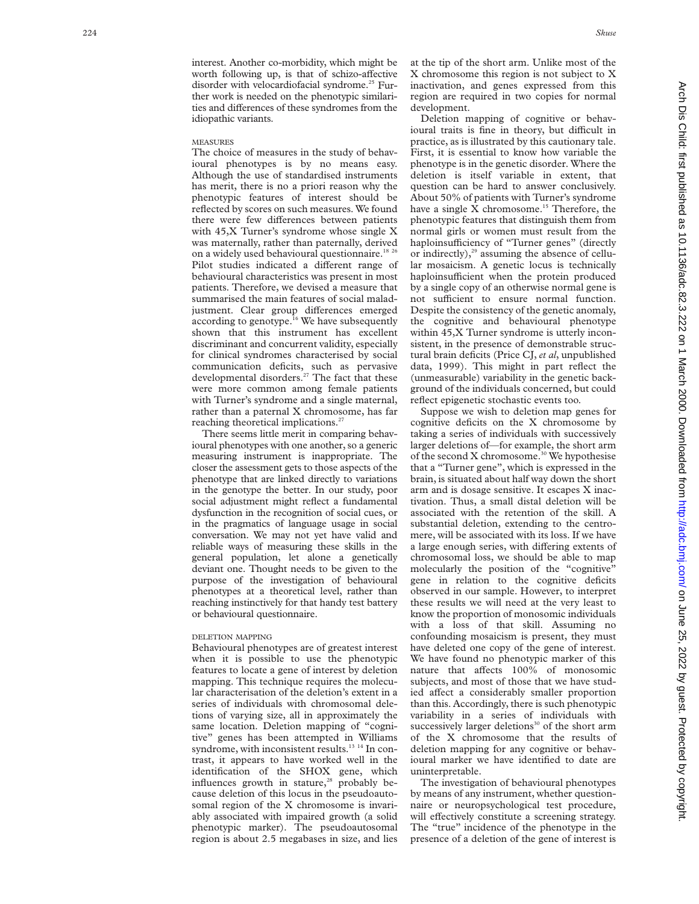interest. Another co-morbidity, which might be worth following up, is that of schizo-affective disorder with velocardiofacial syndrome.<sup>25</sup> Further work is needed on the phenotypic similarities and differences of these syndromes from the idiopathic variants.

#### **MEASURES**

The choice of measures in the study of behavioural phenotypes is by no means easy. Although the use of standardised instruments has merit, there is no a priori reason why the phenotypic features of interest should be reflected by scores on such measures. We found there were few differences between patients with 45,X Turner's syndrome whose single X was maternally, rather than paternally, derived on a widely used behavioural questionnaire.<sup>18 26</sup> Pilot studies indicated a different range of behavioural characteristics was present in most patients. Therefore, we devised a measure that summarised the main features of social maladjustment. Clear group differences emerged  $rac{1}{4}$  according to genotype.<sup>16</sup> We have subsequently shown that this instrument has excellent discriminant and concurrent validity, especially for clinical syndromes characterised by social communication deficits, such as pervasive developmental disorders.<sup>27</sup> The fact that these were more common among female patients with Turner's syndrome and a single maternal, rather than a paternal X chromosome, has far reaching theoretical implications.<sup>27</sup>

There seems little merit in comparing behavioural phenotypes with one another, so a generic measuring instrument is inappropriate. The closer the assessment gets to those aspects of the phenotype that are linked directly to variations in the genotype the better. In our study, poor social adjustment might reflect a fundamental dysfunction in the recognition of social cues, or in the pragmatics of language usage in social conversation. We may not yet have valid and reliable ways of measuring these skills in the general population, let alone a genetically deviant one. Thought needs to be given to the purpose of the investigation of behavioural phenotypes at a theoretical level, rather than reaching instinctively for that handy test battery or behavioural questionnaire.

## DELETION MAPPING

Behavioural phenotypes are of greatest interest when it is possible to use the phenotypic features to locate a gene of interest by deletion mapping. This technique requires the molecular characterisation of the deletion's extent in a series of individuals with chromosomal deletions of varying size, all in approximately the same location. Deletion mapping of "cognitive" genes has been attempted in Williams syndrome, with inconsistent results.<sup>13 14</sup> In contrast, it appears to have worked well in the identification of the SHOX gene, which influences growth in stature,<sup>28</sup> probably because deletion of this locus in the pseudoautosomal region of the X chromosome is invariably associated with impaired growth (a solid phenotypic marker). The pseudoautosomal region is about 2.5 megabases in size, and lies at the tip of the short arm. Unlike most of the X chromosome this region is not subject to X inactivation, and genes expressed from this region are required in two copies for normal development.

Deletion mapping of cognitive or behavioural traits is fine in theory, but difficult in practice, as is illustrated by this cautionary tale. First, it is essential to know how variable the phenotype is in the genetic disorder. Where the deletion is itself variable in extent, that question can be hard to answer conclusively. About 50% of patients with Turner's syndrome have a single X chromosome.<sup>15</sup> Therefore, the phenotypic features that distinguish them from normal girls or women must result from the haploinsufficiency of "Turner genes" (directly or indirectly), $29$  assuming the absence of cellular mosaicism. A genetic locus is technically haploinsufficient when the protein produced by a single copy of an otherwise normal gene is not sufficient to ensure normal function. Despite the consistency of the genetic anomaly, the cognitive and behavioural phenotype within 45,X Turner syndrome is utterly inconsistent, in the presence of demonstrable structural brain deficits (Price CJ, *et al*, unpublished data, 1999). This might in part reflect the (unmeasurable) variability in the genetic background of the individuals concerned, but could reflect epigenetic stochastic events too.

Suppose we wish to deletion map genes for cognitive deficits on the X chromosome by taking a series of individuals with successively larger deletions of—for example, the short arm of the second X chromosome.<sup>30</sup> We hypothesise that a "Turner gene", which is expressed in the brain, is situated about half way down the short arm and is dosage sensitive. It escapes X inactivation. Thus, a small distal deletion will be associated with the retention of the skill. A substantial deletion, extending to the centromere, will be associated with its loss. If we have a large enough series, with differing extents of chromosomal loss, we should be able to map molecularly the position of the "cognitive" gene in relation to the cognitive deficits observed in our sample. However, to interpret these results we will need at the very least to know the proportion of monosomic individuals with a loss of that skill. Assuming no confounding mosaicism is present, they must have deleted one copy of the gene of interest. We have found no phenotypic marker of this nature that affects 100% of monosomic subjects, and most of those that we have studied affect a considerably smaller proportion than this. Accordingly, there is such phenotypic variability in a series of individuals with successively larger deletions $30$  of the short arm of the X chromosome that the results of deletion mapping for any cognitive or behavioural marker we have identified to date are uninterpretable.

The investigation of behavioural phenotypes by means of any instrument, whether questionnaire or neuropsychological test procedure, will effectively constitute a screening strategy. The "true" incidence of the phenotype in the presence of a deletion of the gene of interest is